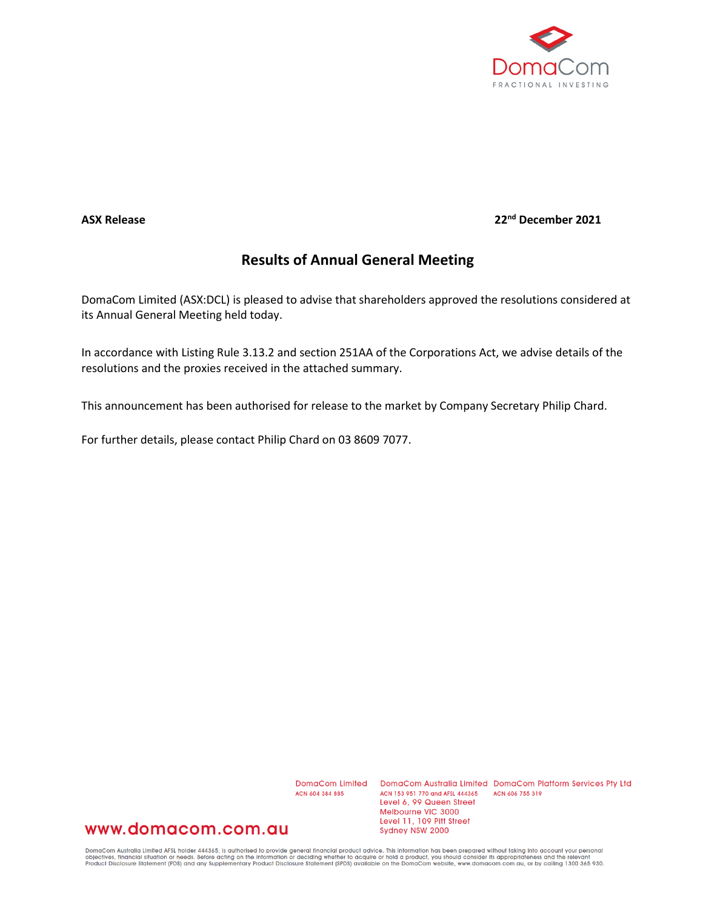

### **ASX Release 22nd December 2021**

# **Results of Annual General Meeting**

DomaCom Limited (ASX:DCL) is pleased to advise that shareholders approved the resolutions considered at its Annual General Meeting held today.

In accordance with Listing Rule 3.13.2 and section 251AA of the Corporations Act, we advise details of the resolutions and the proxies received in the attached summary.

This announcement has been authorised for release to the market by Company Secretary Philip Chard.

For further details, please contact Philip Chard on 03 8609 7077.

ACN 604 384 885

DomaCom Limited DomaCom Australia Limited DomaCom Platform Services Pty Ltd ACN 153 951 770 and AFSL 444365 ACN 606 755 319 Level 6, 99 Queen Street Melbourne VIC 3000 Level 11, 109 Pitt Street Sydney NSW 2000

## www.domacom.com.au

DomaCom Australia Limited AFSL holder 444365, is authorised to provide general financial product advice. This information has been prepared without taking into account your personal<br>objectives, financial situation or needs